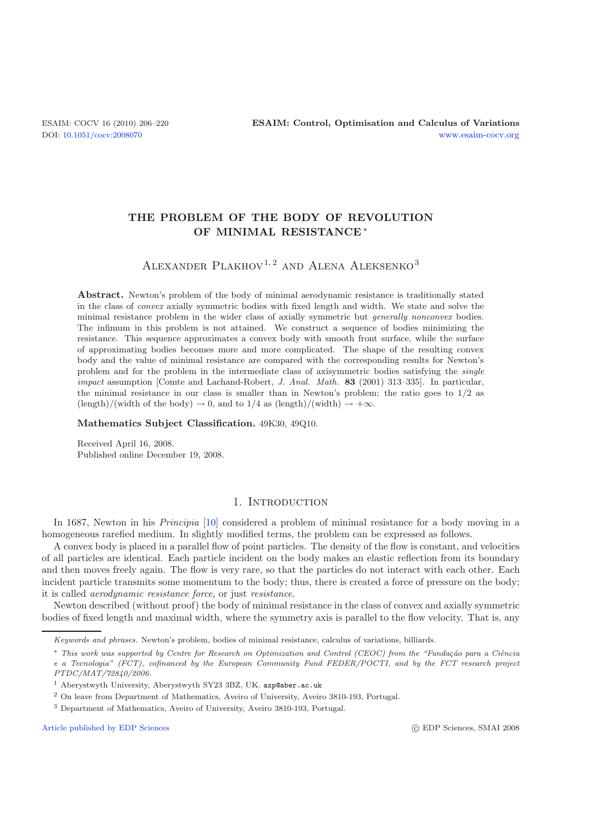# THE PROBLEM OF THE BODY OF REVOLUTION **THE PROBLEM OF THE BODY OF MINIMAL RESISTANCE** ∗

# ALEXANDER PLAKHOV<sup>1, 2</sup> AND ALENA ALEKSENKO<sup>3</sup>

**Abstract.** Newton's problem of the body of minimal aerodynamic resistance is traditionally stated in the class of *convex* axially symmetric bodies with fixed length and width. We state and solve the minimal resistance problem in the wider class of axially symmetric but *generally nonconvex* bodies. The infimum in this problem is not attained. We construct a sequence of bodies minimizing the resistance. This sequence approximates a convex body with smooth front surface, while the surface of approximating bodies becomes more and more complicated. The shape of the resulting convex body and the value of minimal resistance are compared with the corresponding results for Newton's problem and for the problem in the intermediate class of axisymmetric bodies satisfying the *single impact* assumption [Comte and Lachand-Robert, *J. Anal. Math.* **<sup>83</sup>** (2001) 313–335]. In particular, the minimal resistance in our class is smaller than in Newton's problem; the ratio goes to 1*/*2 as  $(\text{length})/(\text{width of the body}) \rightarrow 0$ , and to 1/4 as  $(\text{length})/(\text{width}) \rightarrow +\infty$ .

**Mathematics Subject Classification.** 49K30, 49Q10.

Received April 16, 2008. Published online December 19, 2008.

## 1. INTRODUCTION

In 1687, Newton in his *Principia* [\[10\]](#page-14-0) considered a problem of minimal resistance for a body moving in a homogeneous rarefied medium. In slightly modified terms, the problem can be expressed as follows.

A convex body is placed in a parallel flow of point particles. The density of the flow is constant, and velocities of all particles are identical. Each particle incident on the body makes an elastic reflection from its boundary and then moves freely again. The flow is very rare, so that the particles do not interact with each other. Each incident particle transmits some momentum to the body; thus, there is created a force of pressure on the body; it is called *aerodynamic resistance force*, or just *resistance*.

Newton described (without proof) the body of minimal resistance in the class of convex and axially symmetric bodies of fixed length and maximal width, where the symmetry axis is parallel to the flow velocity. That is, any

<sup>2</sup> On leave from Department of Mathematics, Aveiro of University, Aveiro 3810-193, Portugal.

[Article published by EDP Sciences](http://www.edpsciences.org) c EDP Sciences c EDP Sciences, SMAI 2008

*Keywords and phrases.* Newton's problem, bodies of minimal resistance, calculus of variations, billiards.

<sup>∗</sup> *This work was supported by Centre for Research on Optimization and Control (CEOC) from the "Funda¸c˜ao para a Ciˆencia e a Tecnologia" (FCT), cofinanced by the European Community Fund FEDER/POCTI, and by the FCT research project PTDC/MAT/72840/2006.*

<sup>1</sup> Aberystwyth University, Aberystwyth SY23 3BZ, UK. axp@aber.ac.uk

<sup>3</sup> Department of Mathematics, Aveiro of University, Aveiro 3810-193, Portugal.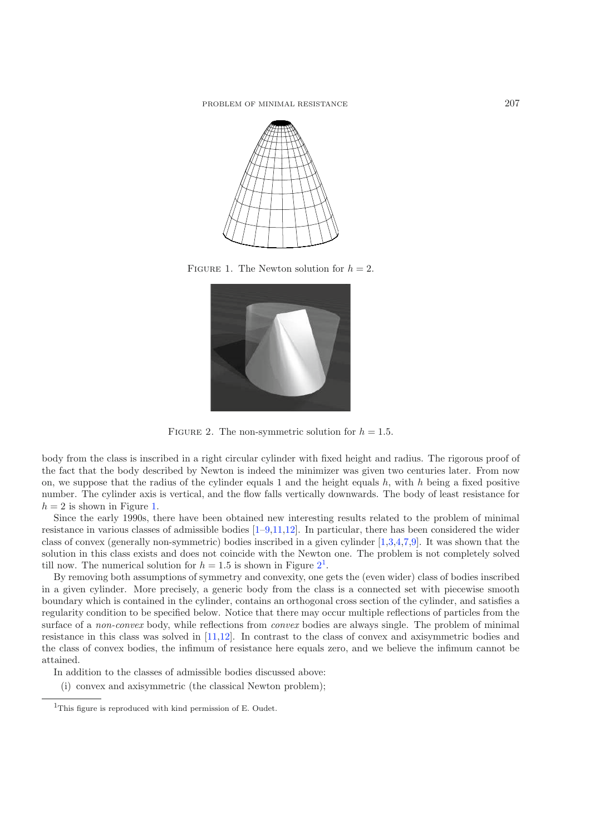<span id="page-1-0"></span>

FIGURE 1. The Newton solution for  $h = 2$ .

<span id="page-1-1"></span>

FIGURE 2. The non-symmetric solution for  $h = 1.5$ .

body from the class is inscribed in a right circular cylinder with fixed height and radius. The rigorous proof of the fact that the body described by Newton is indeed the minimizer was given two centuries later. From now on, we suppose that the radius of the cylinder equals 1 and the height equals  $h$ , with  $h$  being a fixed positive number. The cylinder axis is vertical, and the flow falls vertically downwards. The body of least resistance for  $h = 2$  is shown in Figure [1.](#page-1-0)

Since the early 1990s, there have been obtained new interesting results related to the problem of minimal resistance in various classes of admissible bodies  $[1-9,11,12]$  $[1-9,11,12]$  $[1-9,11,12]$  $[1-9,11,12]$ . In particular, there has been considered the wider class of convex (generally non-symmetric) bodies inscribed in a given cylinder [\[1](#page-14-1)[,3](#page-14-5)[,4](#page-14-6)[,7](#page-14-7)[,9\]](#page-14-2). It was shown that the solution in this class exists and does not coincide with the Newton one. The problem is not completely solved till now. The numerical solution for  $h = 1.5$  $h = 1.5$  $h = 1.5$  is shown in Figure  $2<sup>1</sup>$  $2<sup>1</sup>$ .

<span id="page-1-2"></span>By removing both assumptions of symmetry and convexity, one gets the (even wider) class of bodies inscribed in a given cylinder. More precisely, a generic body from the class is a connected set with piecewise smooth boundary which is contained in the cylinder, contains an orthogonal cross section of the cylinder, and satisfies a regularity condition to be specified below. Notice that there may occur multiple reflections of particles from the surface of a *non-convex* body, while reflections from *convex* bodies are always single. The problem of minimal resistance in this class was solved in [\[11](#page-14-3)[,12\]](#page-14-4). In contrast to the class of convex and axisymmetric bodies and the class of convex bodies, the infimum of resistance here equals zero, and we believe the infimum cannot be attained.

In addition to the classes of admissible bodies discussed above:

(i) convex and axisymmetric (the classical Newton problem);

<sup>&</sup>lt;sup>1</sup>This figure is reproduced with kind permission of E. Oudet.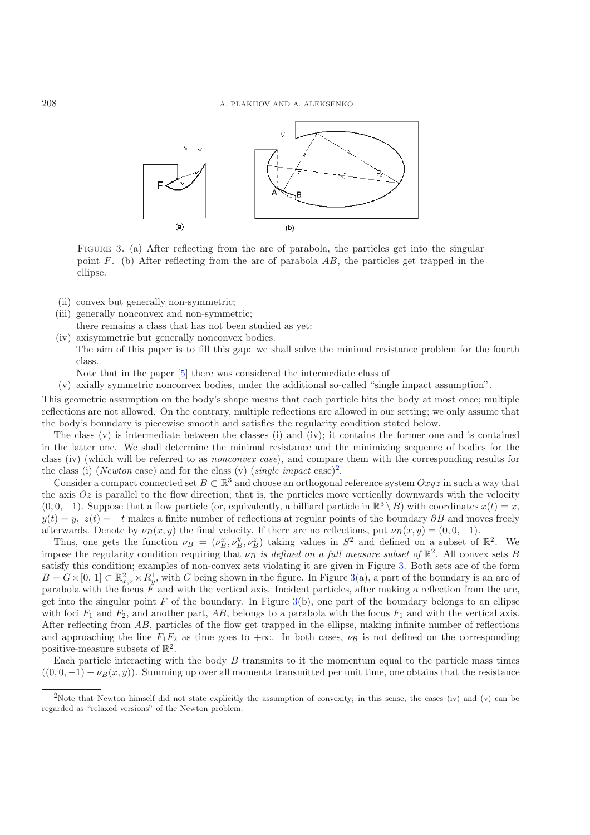

FIGURE 3. (a) After reflecting from the arc of parabola, the particles get into the singular point F. (b) After reflecting from the arc of parabola AB, the particles get trapped in the ellipse.

- (ii) convex but generally non-symmetric;
- (iii) generally nonconvex and non-symmetric;
- there remains a class that has not been studied as yet:
- (iv) axisymmetric but generally nonconvex bodies.
	- The aim of this paper is to fill this gap: we shall solve the minimal resistance problem for the fourth class.
	- Note that in the paper [\[5\]](#page-14-8) there was considered the intermediate class of

(v) axially symmetric nonconvex bodies, under the additional so-called "single impact assumption".

This geometric assumption on the body's shape means that each particle hits the body at most once; multiple reflections are not allowed. On the contrary, multiple reflections are allowed in our setting; we only assume that the body's boundary is piecewise smooth and satisfies the regularity condition stated below.

The class (v) is intermediate between the classes (i) and (iv); it contains the former one and is contained in the latter one. We shall determine the minimal resistance and the minimizing sequence of bodies for the class (iv) (which will be referred to as *nonconvex case*), and compare them with the corresponding results for the class (i) (*Newton* case) and for the class (v) (*single impact* case)<sup>[2](#page-2-0)</sup>.

Consider a compact connected set  $B \subset \mathbb{R}^3$  and choose an orthogonal reference system  $Oxyz$  in such a way that the axis  $Oz$  is parallel to the flow direction; that is, the particles move vertically downwards with the velocity  $(0, 0, -1)$ . Suppose that a flow particle (or, equivalently, a billiard particle in  $\mathbb{R}^3 \setminus B$ ) with coordinates  $x(t) = x$ ,  $y(t) = y$ ,  $z(t) = -t$  makes a finite number of reflections at regular points of the boundary  $\partial B$  and moves freely afterwards. Denote by  $\nu_B(x, y)$  the final velocity. If there are no reflections, put  $\nu_B(x, y) = (0, 0, -1)$ .

<span id="page-2-0"></span>Thus, one gets the function  $\nu_B = (\nu_B^x, \nu_B^y, \nu_B^z)$  taking values in  $S^2$  and defined on a subset of  $\mathbb{R}^2$ . We impose the regularity condition requiring that  $\nu_B$  *is defined on a full measure subset of*  $\mathbb{R}^2$ . All convex sets B satisfy this condition; examples of non-convex sets violating it are given in Figure [3.](#page-2-1) Both sets are of the form  $B = G \times [0, 1] \subset \mathbb{R}^2_{x,z} \times R_y^1$ , with G being shown in the figure. In Figure [3\(](#page-2-1)a), a part of the boundary is an arc of parabola with the focus  $F$  and with the vertical axis. Incident particles, after making a reflection from the arc, get into the singular point  $F$  of the boundary. In Figure [3\(](#page-2-1)b), one part of the boundary belongs to an ellipse with foci  $F_1$  and  $F_2$ , and another part, AB, belongs to a parabola with the focus  $F_1$  and with the vertical axis. After reflecting from AB, particles of the flow get trapped in the ellipse, making infinite number of reflections and approaching the line  $F_1F_2$  as time goes to  $+\infty$ . In both cases,  $\nu_B$  is not defined on the corresponding positive-measure subsets of  $\mathbb{R}^2$ .

Each particle interacting with the body  $B$  transmits to it the momentum equal to the particle mass times  $((0, 0, -1) - \nu_B(x, y))$ . Summing up over all momenta transmitted per unit time, one obtains that the resistance

<span id="page-2-1"></span>

<sup>&</sup>lt;sup>2</sup>Note that Newton himself did not state explicitly the assumption of convexity; in this sense, the cases (iv) and (v) can be regarded as "relaxed versions" of the Newton problem.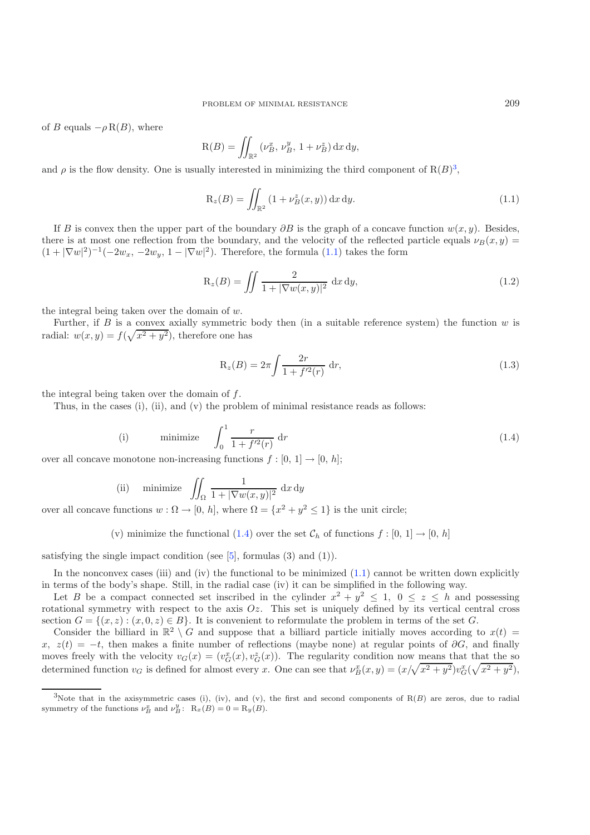of B equals  $-\rho R(B)$ , where

<span id="page-3-1"></span>
$$
R(B) = \iint_{\mathbb{R}^2} (\nu_B^x, \nu_B^y, 1 + \nu_B^z) \,dx \,dy,
$$

and  $\rho$  is the flow density. One is usually interested in minimizing the third component of  $R(B)^3$  $R(B)^3$ ,

$$
R_z(B) = \iint_{\mathbb{R}^2} (1 + \nu_B^z(x, y)) dx dy.
$$
 (1.1)

If B is convex then the upper part of the boundary  $\partial B$  is the graph of a concave function  $w(x, y)$ . Besides, there is at most one reflection from the boundary, and the velocity of the reflected particle equals  $\nu_B(x, y) =$  $(1+|\nabla w|^2)^{-1}(-2w_x, -2w_y, 1-|\nabla w|^2)$ . Therefore, the formula  $(1.1)$  takes the form

$$
R_z(B) = \iint \frac{2}{1 + |\nabla w(x, y)|^2} dx dy,
$$
\n(1.2)

<span id="page-3-2"></span>the integral being taken over the domain of w.

Further, if B is a convex axially symmetric body then (in a suitable reference system) the function  $w$  is radial:  $w(x, y) = f(\sqrt{x^2 + y^2})$ , therefore one has

$$
R_z(B) = 2\pi \int \frac{2r}{1 + f'^2(r)} dr,
$$
\n(1.3)

the integral being taken over the domain of  $f$ .

Thus, in the cases (i), (ii), and (v) the problem of minimal resistance reads as follows:

(i) minimize 
$$
\int_0^1 \frac{r}{1 + f'^2(r)} dr
$$
 (1.4)

over all concave monotone non-increasing functions  $f : [0, 1] \rightarrow [0, h]$ ;

(ii) minimize 
$$
\iint_{\Omega} \frac{1}{1 + |\nabla w(x, y)|^2} dx dy
$$

over all concave functions  $w : \Omega \to [0, h]$ , where  $\Omega = \{x^2 + y^2 \le 1\}$  is the unit circle;

(v) minimize the functional [\(1.4\)](#page-3-2) over the set  $\mathcal{C}_h$  of functions  $f : [0, 1] \to [0, h]$ 

<span id="page-3-0"></span>satisfying the single impact condition (see  $[5]$  $[5]$ , formulas  $(3)$  and  $(1)$ ).

In the nonconvex cases (iii) and (iv) the functional to be minimized  $(1.1)$  cannot be written down explicitly in terms of the body's shape. Still, in the radial case (iv) it can be simplified in the following way.

Let B be a compact connected set inscribed in the cylinder  $x^2 + y^2 \le 1$ ,  $0 \le z \le h$  and possessing rotational symmetry with respect to the axis  $Oz$ . This set is uniquely defined by its vertical central cross section  $G = \{(x, z): (x, 0, z) \in B\}$ . It is convenient to reformulate the problem in terms of the set G.

Consider the billiard in  $\mathbb{R}^2 \setminus G$  and suppose that a billiard particle initially moves according to  $x(t)$ x,  $z(t) = -t$ , then makes a finite number of reflections (maybe none) at regular points of  $\partial G$ , and finally moves freely with the velocity  $v_G(x) = (v_G^x(x), v_G^z(x))$ . The regularity condition now means that that the so determined function  $v_G$  is defined for almost every x. One can see that  $\nu_B^x(x,y) = (x/\sqrt{x^2 + y^2})v_G^x(\sqrt{x^2 + y^2}),$ 

<sup>3</sup>Note that in the axisymmetric cases (i), (iv), and (v), the first and second components of  $R(B)$  are zeros, due to radial symmetry of the functions  $\nu_B^x$  and  $\nu_B^y$ :  $R_x(B) = 0 = R_y(B)$ .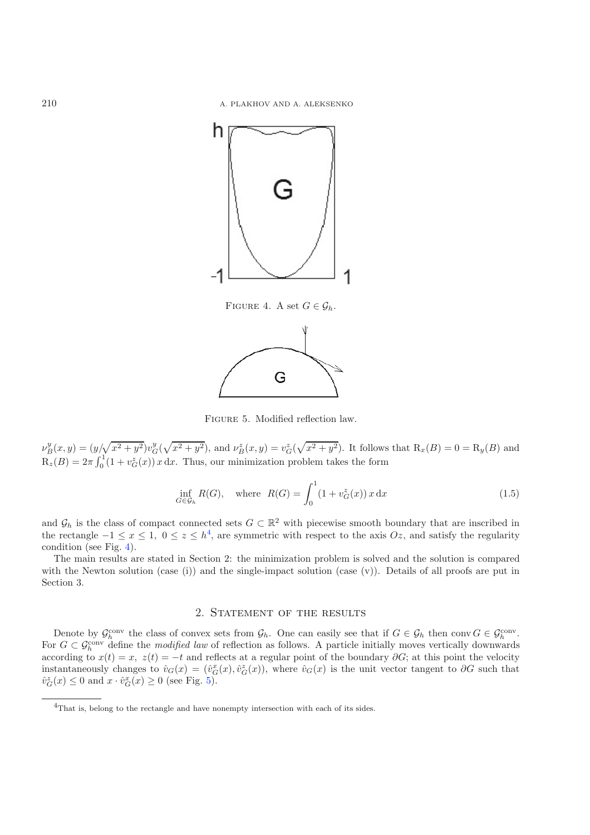<span id="page-4-1"></span>

<span id="page-4-3"></span><span id="page-4-2"></span>

Figure 5. Modified reflection law.

 $\nu^y_B(x,y) = (y/\sqrt{x^2 + y^2})v^y_G(\sqrt{x^2 + y^2})$ , and  $\nu^z_B(x,y) = v^z_G(\sqrt{x^2 + y^2})$ . It follows that  $R_x(B) = 0 = R_y(B)$  and  $R_z(B) = 2\pi \int_0^1 (1 + v_G^z(x)) x \, dx$ . Thus, our minimization problem takes the form

$$
\inf_{G \in \mathcal{G}_h} R(G), \quad \text{where} \quad R(G) = \int_0^1 (1 + v_G^z(x)) x \, dx \tag{1.5}
$$

and  $\mathcal{G}_h$  is the class of compact connected sets  $G \subset \mathbb{R}^2$  with piecewise smooth boundary that are inscribed in the rectangle  $-1 \le x \le 1$ ,  $0 \le z \le h^4$  $0 \le z \le h^4$ , are symmetric with respect to the axis  $Oz$ , and satisfy the regularity condition (see Fig. [4\)](#page-4-1).

<span id="page-4-0"></span>The main results are stated in Section 2: the minimization problem is solved and the solution is compared with the Newton solution (case (i)) and the single-impact solution (case  $(v)$ ). Details of all proofs are put in Section 3.

## 2. STATEMENT OF THE RESULTS

Denote by  $\mathcal{G}_h^{\text{conv}}$  the class of convex sets from  $\mathcal{G}_h$ . One can easily see that if  $G \in \mathcal{G}_h$  then conv $G \in \mathcal{G}_h^{\text{conv}}$ . For  $G \subset \mathcal{G}_h^{\text{conv}}$  define the *modified law* of reflection as follows. A particle initially moves vertically downwards according to  $x(t) = x$ ,  $z(t) = -t$  and reflects at a regular point of the boundary ∂G; at this point the velocity instantaneously changes to  $\hat{v}_G(x) = (\hat{v}_G^x(x), \hat{v}_G^z(x))$ , where  $\hat{v}_G(x)$  is the unit vector tangent to  $\partial G$  such that  $\hat{v}_G^z(x) \leq 0$  and  $x \cdot \hat{v}_G^x(x) \geq 0$  (see Fig. [5\)](#page-4-2).

<sup>4</sup>That is, belong to the rectangle and have nonempty intersection with each of its sides.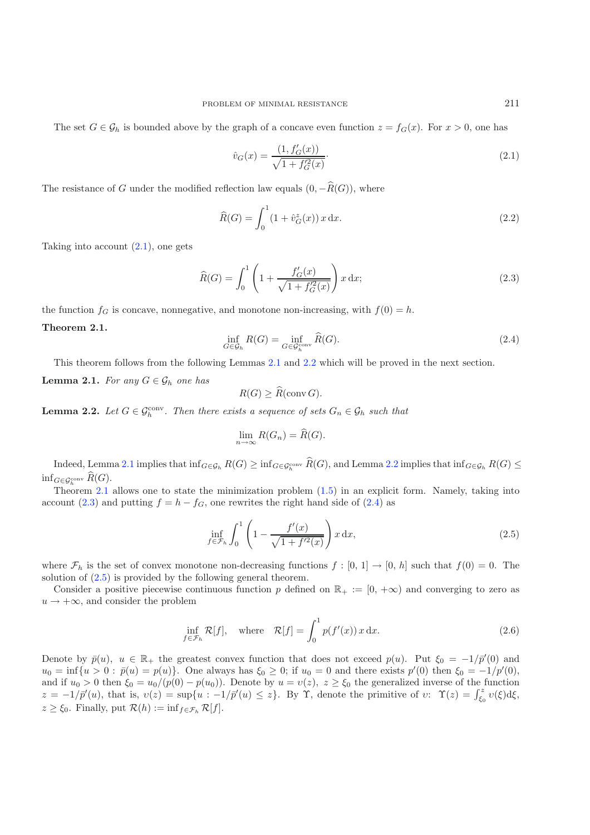<span id="page-5-4"></span>The set  $G \in \mathcal{G}_h$  is bounded above by the graph of a concave even function  $z = f_G(x)$ . For  $x > 0$ , one has

<span id="page-5-0"></span>
$$
\hat{v}_G(x) = \frac{(1, f'_G(x))}{\sqrt{1 + f'^2_G(x)}}.
$$
\n(2.1)

The resistance of G under the modified reflection law equals  $(0, -\widehat{R}(G))$ , where

<span id="page-5-5"></span>
$$
\widehat{R}(G) = \int_0^1 (1 + \widehat{v}_G^z(x)) x \, dx.
$$
\n(2.2)

Taking into account  $(2.1)$ , one gets

$$
\widehat{R}(G) = \int_0^1 \left( 1 + \frac{f'_G(x)}{\sqrt{1 + f'_G(x)}} \right) x \, dx; \tag{2.3}
$$

<span id="page-5-3"></span>the function  $f_G$  is concave, nonnegative, and monotone non-increasing, with  $f(0) = h$ .

$$
\inf_{G \in \mathcal{G}_h} R(G) = \inf_{G \in \mathcal{G}_h^{\text{conv}}} \widehat{R}(G). \tag{2.4}
$$

<span id="page-5-6"></span>This theorem follows from the following Lemmas [2.1](#page-5-1) and [2.2](#page-5-2) which will be proved in the next section.

<span id="page-5-1"></span>**Lemma 2.1.** *For any*  $G \in \mathcal{G}_h$  *one has* 

$$
R(G) \ge \widehat{R}(\text{conv } G).
$$

<span id="page-5-2"></span>**Lemma 2.2.** Let  $G \in \mathcal{G}_h^{\text{conv}}$ . Then there exists a sequence of sets  $G_n \in \mathcal{G}_h$  such that

$$
\lim_{n \to \infty} R(G_n) = \widehat{R}(G).
$$

Indeed, Lemma [2.1](#page-5-1) implies that  $\inf_{G \in \mathcal{G}_h} R(G) \geq \inf_{G \in \mathcal{G}_h^{conv}} R(G)$ , and Lemma [2.2](#page-5-2) implies that  $\inf_{G \in \mathcal{G}_h} R(G) \leq$  $\inf_{G \in \mathcal{G}_h^{\text{conv}}} R(G)$ .

<span id="page-5-7"></span>Theorem [2.1](#page-5-3) allows one to state the minimization problem  $(1.5)$  in an explicit form. Namely, taking into account [\(2.3\)](#page-5-4) and putting  $f = h - f_G$ , one rewrites the right hand side of [\(2.4\)](#page-5-5) as

$$
\inf_{f \in \mathcal{F}_h} \int_0^1 \left( 1 - \frac{f'(x)}{\sqrt{1 + f'^2(x)}} \right) x \, dx, \tag{2.5}
$$

where  $\mathcal{F}_h$  is the set of convex monotone non-decreasing functions  $f : [0, 1] \to [0, h]$  such that  $f(0) = 0$ . The solution of [\(2.5\)](#page-5-6) is provided by the following general theorem.

Consider a positive piecewise continuous function p defined on  $\mathbb{R}_+ := [0, +\infty)$  and converging to zero as  $u \rightarrow +\infty$ , and consider the problem

$$
\inf_{f \in \mathcal{F}_h} \mathcal{R}[f], \quad \text{where} \quad \mathcal{R}[f] = \int_0^1 p(f'(x)) \, x \, dx. \tag{2.6}
$$

<span id="page-5-8"></span>Denote by  $\bar{p}(u)$ ,  $u \in \mathbb{R}_+$  the greatest convex function that does not exceed  $p(u)$ . Put  $\xi_0 = -1/\bar{p}'(0)$  and  $u_0 = \inf\{u > 0 : \bar{p}(u) = p(u)\}\.$  One always has  $\xi_0 \geq 0$ ; if  $u_0 = 0$  and there exists  $p'(0)$  then  $\xi_0 = -1/p'(0)$ , and if  $u_0 > 0$  then  $\xi_0 = u_0/(p(0) - p(u_0))$ . Denote by  $u = v(z)$ ,  $z \ge \xi_0$  the generalized inverse of the function  $z = -1/\bar{p}'(u)$ , that is,  $v(z) = \sup\{u : -1/\bar{p}'(u) \leq z\}$ . By  $\Upsilon$ , denote the primitive of  $v: \Upsilon(z) = \int_{\xi_0}^z v(\xi) d\xi$ ,  $z \geq \xi_0$ . Finally, put  $\mathcal{R}(h) := \inf_{f \in \mathcal{F}_h} \mathcal{R}[f].$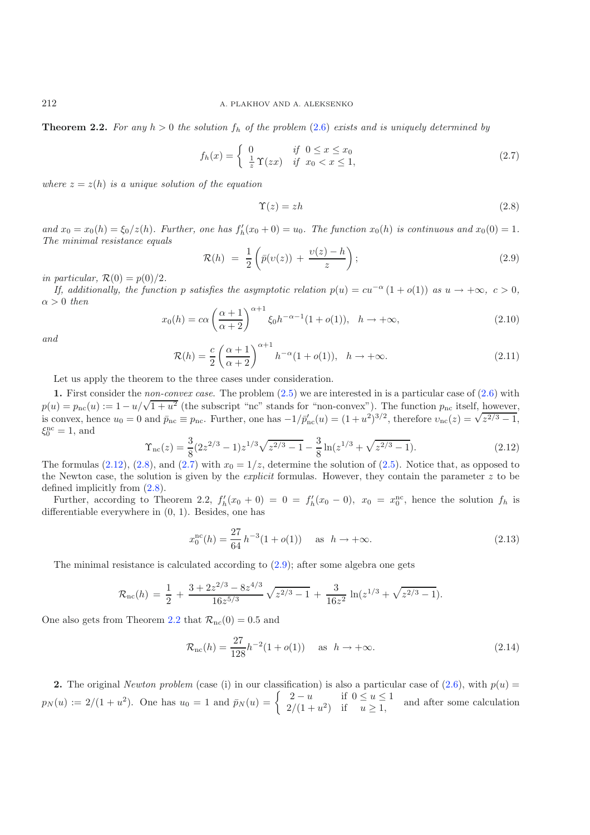**Theorem 2.2.** For any  $h > 0$  the solution  $f_h$  of the problem [\(2.6\)](#page-5-7) exists and is uniquely determined by

<span id="page-6-3"></span><span id="page-6-1"></span>
$$
f_h(x) = \begin{cases} 0 & \text{if } 0 \le x \le x_0 \\ \frac{1}{z} \Upsilon(zx) & \text{if } x_0 < x \le 1, \end{cases} \tag{2.7}
$$

<span id="page-6-5"></span>*where*  $z = z(h)$  *is a unique solution of the equation* 

$$
\Upsilon(z) = zh \tag{2.8}
$$

<span id="page-6-4"></span>and  $x_0 = x_0(h) = \xi_0/z(h)$ . Further, one has  $f'_h(x_0 + 0) = u_0$ . The function  $x_0(h)$  is continuous and  $x_0(0) = 1$ . *The minimal resistance equals*

$$
\mathcal{R}(h) = \frac{1}{2} \left( \bar{p}(v(z)) + \frac{v(z) - h}{z} \right); \tag{2.9}
$$

*in particular,*  $\mathcal{R}(0) = p(0)/2$ .

<span id="page-6-0"></span>*If, additionally, the function* p *satisfies the asymptotic relation*  $p(u) = cu^{-\alpha}(1+o(1))$  *as*  $u \to +\infty$ *, c* > 0*,*  $\alpha > 0$  *then* 

$$
x_0(h) = c\alpha \left(\frac{\alpha+1}{\alpha+2}\right)^{\alpha+1} \xi_0 h^{-\alpha-1} (1 + o(1)), \quad h \to +\infty,
$$
\n(2.10)

*and*

$$
\mathcal{R}(h) = \frac{c}{2} \left( \frac{\alpha + 1}{\alpha + 2} \right)^{\alpha + 1} h^{-\alpha} (1 + o(1)), \quad h \to +\infty.
$$
 (2.11)

Let us apply the theorem to the three cases under consideration.

**1.** First consider the *non-convex case*. The problem [\(2.5\)](#page-5-6) we are interested in is a particular case of [\(2.6\)](#page-5-7) with **1.** First consider the *non-convex case*. The problem (2.0) we are interested in is a particular case of (2.0) with  $p(u) = p_{\text{nc}}(u) := 1 - u/\sqrt{1 + u^2}$  (the subscript "nc" stands for "non-convex"). The function  $p_{\text{nc}}$  itse  $p(u) = p_{\text{nc}}(u) := 1 - u/\sqrt{1 + u^2}$  (the subscript are stands for non-convex). The function  $p_{\text{nc}}$  (isen, nowever, is convex, hence  $u_0 = 0$  and  $\bar{p}_{\text{nc}} \equiv p_{\text{nc}}$ . Further, one has  $-1/\bar{p}'_{\text{nc}}(u) = (1 + u^2)^{3/2}$ , there  $\xi_0^{\rm nc} = 1$ , and

$$
\Upsilon_{\rm nc}(z) = \frac{3}{8} (2z^{2/3} - 1) z^{1/3} \sqrt{z^{2/3} - 1} - \frac{3}{8} \ln(z^{1/3} + \sqrt{z^{2/3} - 1}).\tag{2.12}
$$

The formulas [\(2.12\)](#page-6-0), [\(2.8\)](#page-6-1), and [\(2.7\)](#page-6-2) with  $x_0 = 1/z$ , determine the solution of [\(2.5\)](#page-5-6). Notice that, as opposed to the Newton case, the solution is given by the *explicit* formulas. However, they contain the parameter z to be defined implicitly from [\(2.8\)](#page-6-1).

Further, according to Theorem 2.2,  $f'_h(x_0 + 0) = 0 = f'_h(x_0 - 0)$ ,  $x_0 = x_0^{\text{nc}}$ , hence the solution  $f_h$  is differentiable everywhere in (0, 1). Besides, one has

$$
x_0^{\rm nc}(h) = \frac{27}{64} h^{-3} (1 + o(1)) \quad \text{as } h \to +\infty.
$$
 (2.13)

The minimal resistance is calculated according to  $(2.9)$ ; after some algebra one gets

$$
\mathcal{R}_{\rm nc}(h) = \frac{1}{2} + \frac{3 + 2z^{2/3} - 8z^{4/3}}{16z^{5/3}} \sqrt{z^{2/3} - 1} + \frac{3}{16z^2} \ln(z^{1/3} + \sqrt{z^{2/3} - 1}).
$$

One also gets from Theorem [2.2](#page-5-8) that  $\mathcal{R}_{\text{nc}}(0) = 0.5$  and

$$
\mathcal{R}_{\rm nc}(h) = \frac{27}{128} h^{-2} (1 + o(1)) \quad \text{as } h \to +\infty.
$$
 (2.14)

**2.** The original *Newton problem* (case (i) in our classification) is also a particular case of [\(2.6\)](#page-5-7), with  $p(u) = r(u) := 2/(1+u^2)$ . One has  $u_0 = 1$  and  $\bar{p}_N(u) = \begin{cases} 2-u & \text{if } 0 \le u \le 1 \\ 2/(1+u^2) & \text{if } u > 1 \end{cases}$  and after  $p_N (u) := 2/(1+u^2)$ . One has  $u_0 = 1$  and  $\bar{p}_N (u) = \begin{cases} 2-u & \text{if } 0 \le u \le 1 \\ 2/(1+u^2) & \text{if } u \ge 1, \end{cases}$  and after some calculation

<span id="page-6-2"></span>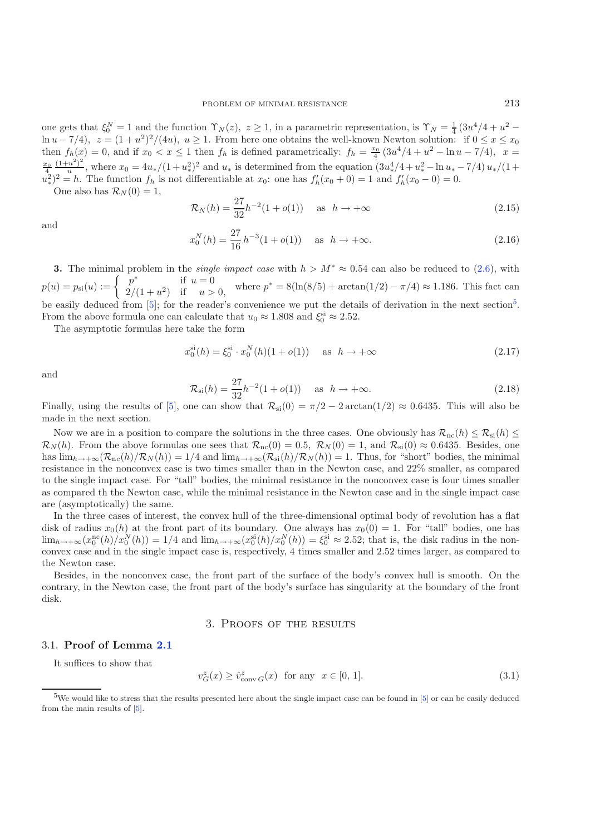one gets that  $\xi_0^N = 1$  and the function  $\Upsilon_N(z)$ ,  $z \ge 1$ , in a parametric representation, is  $\Upsilon_N = \frac{1}{4} (3u^4/4 + u^2 \ln u - 7/4$ ,  $z = (1 + u^2)^2/(4u)$ ,  $u \ge 1$ . From here one obtains the well-known Newton solution: if  $0 \le x \le x_0$ then  $f_h(x) = 0$ , and if  $x_0 < x \le 1$  then  $f_h$  is defined parametrically:  $f_h = \frac{x_0}{4} (3u^4/4 + u^2 - \ln u - 7/4)$ ,  $x =$  $\frac{x_0}{4} \frac{(1+u^2)^2}{u}$ , where  $x_0 = 4u_*/(1+u_*)^2$  and  $u_*$  is determined from the equation  $(3u_*^4/4+u_*^2-\ln u_*-7/4)u_*/(1+u_*^2)$  $(u^2_*)^2 = h$ . The function  $f_h$  is not differentiable at  $x_0$ : one has  $f'_h(x_0 + 0) = 1$  and  $f'_h(x_0 - 0) = 0$ .

One also has  $\mathcal{R}_N(0) = 1$ ,

$$
\mathcal{R}_N(h) = \frac{27}{32}h^{-2}(1+o(1)) \quad \text{as } h \to +\infty \tag{2.15}
$$

and

$$
x_0^N(h) = \frac{27}{16}h^{-3}(1+o(1)) \quad \text{as } h \to +\infty.
$$
 (2.16)

**3.** The minimal problem in the *single impact case* with  $h > M^* \approx 0.54$  can also be reduced to [\(2.6\)](#page-5-7), with  $\int_{0}^{*} u f(x) dx = 0$  $p(u) = p_{si}(u) := \begin{cases} p^* & \text{if } u = 0 \\ 2/(1+u^2) & \text{if } u > 0, \end{cases}$  where  $p^* = 8(\ln(8/5) + \arctan(1/2) - \pi/4) \approx 1.186$ . This fact can be easily deduced from [\[5](#page-14-8)]; for the reader's convenience we put the details of derivation in the next section<sup>[5](#page-7-0)</sup>. From the above formula one can calculate that  $u_0 \approx 1.808$  and  $\xi_0^{\text{si}} \approx 2.52$ .

The asymptotic formulas here take the form

$$
x_0^{\text{si}}(h) = \xi_0^{\text{si}} \cdot x_0^N(h)(1 + o(1)) \quad \text{ as } h \to +\infty \tag{2.17}
$$

and

$$
\mathcal{R}_{\rm si}(h) = \frac{27}{32}h^{-2}(1+o(1)) \quad \text{as } h \to +\infty.
$$
 (2.18)

Finally, using the results of [\[5](#page-14-8)], one can show that  $\mathcal{R}_{si}(0) = \pi/2 - 2 \arctan(1/2) \approx 0.6435$ . This will also be made in the next section.

Now we are in a position to compare the solutions in the three cases. One obviously has  $\mathcal{R}_{\text{nc}}(h) \leq \mathcal{R}_{\text{si}}(h) \leq$  $\mathcal{R}_N(h)$ . From the above formulas one sees that  $\mathcal{R}_{nc}(0) = 0.5$ ,  $\mathcal{R}_N(0) = 1$ , and  $\mathcal{R}_{si}(0) \approx 0.6435$ . Besides, one has  $\lim_{h\to+\infty}(\mathcal{R}_{\text{nc}}(h)/\mathcal{R}_{N}(h)) = 1/4$  and  $\lim_{h\to+\infty}(\mathcal{R}_{\text{si}}(h)/\mathcal{R}_{N}(h)) = 1$ . Thus, for "short" bodies, the minimal resistance in the nonconvex case is two times smaller than in the Newton case, and 22% smaller, as compared to the single impact case. For "tall" bodies, the minimal resistance in the nonconvex case is four times smaller as compared th the Newton case, while the minimal resistance in the Newton case and in the single impact case are (asymptotically) the same.

<span id="page-7-1"></span>In the three cases of interest, the convex hull of the three-dimensional optimal body of revolution has a flat disk of radius  $x_0(h)$  at the front part of its boundary. One always has  $x_0(0) = 1$ . For "tall" bodies, one has  $\lim_{h\to+\infty} (x_0^{\text{nc}}(h)/x_0^N(h)) = 1/4$  and  $\lim_{h\to+\infty} (x_0^{\text{si}}(h)/x_0^N(h)) = \xi_0^{\text{si}} \approx 2.52$ ; that is, the disk radius in the nonconvex case and in the single impact case is, respectively, 4 times smaller and 2.52 times larger, as compared to the Newton case.

<span id="page-7-0"></span>Besides, in the nonconvex case, the front part of the surface of the body's convex hull is smooth. On the contrary, in the Newton case, the front part of the body's surface has singularity at the boundary of the front disk.

#### 3. Proofs of the results

#### 3.1. **Proof of Lemma [2.1](#page-5-1)**

It suffices to show that

$$
v_G^z(x) \ge \hat{v}_{\text{conv }G}^z(x) \quad \text{for any} \quad x \in [0, 1]. \tag{3.1}
$$

<sup>&</sup>lt;sup>5</sup>We would like to stress that the results presented here about the single impact case can be found in [\[5](#page-14-8)] or can be easily deduced from the main results of [\[5](#page-14-8)].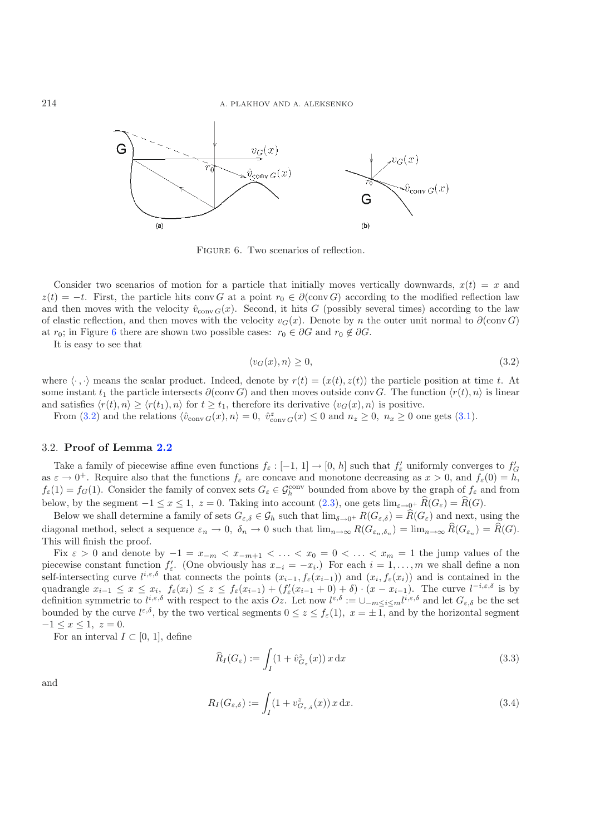<span id="page-8-0"></span>

<span id="page-8-1"></span>FIGURE 6. Two scenarios of reflection.

Consider two scenarios of motion for a particle that initially moves vertically downwards,  $x(t) = x$  and  $z(t) = -t$ . First, the particle hits conv G at a point  $r_0 \in \partial(\text{conv }G)$  according to the modified reflection law and then moves with the velocity  $\hat{v}_{\text{conv }G}(x)$ . Second, it hits G (possibly several times) according to the law of elastic reflection, and then moves with the velocity  $v_G(x)$ . Denote by n the outer unit normal to  $\partial(\text{conv } G)$ at  $r_0$ ; in Figure [6](#page-8-0) there are shown two possible cases:  $r_0 \in \partial G$  and  $r_0 \notin \partial G$ .

It is easy to see that

$$
\langle v_G(x), n \rangle \ge 0,\tag{3.2}
$$

where  $\langle \cdot, \cdot \rangle$  means the scalar product. Indeed, denote by  $r(t)=(x(t), z(t))$  the particle position at time t. At some instant  $t_1$  the particle intersects  $\partial(\text{conv } G)$  and then moves outside conv G. The function  $\langle r(t), n \rangle$  is linear and satisfies  $\langle r(t), n \rangle \geq \langle r(t_1), n \rangle$  for  $t \geq t_1$ , therefore its derivative  $\langle v_G(x), n \rangle$  is positive.

From [\(3.2\)](#page-8-1) and the relations  $\langle \hat{v}_{\text{conv }G}(x), n \rangle = 0$ ,  $\hat{v}_{\text{conv }G}^z(x) \le 0$  and  $n_z \ge 0$ ,  $n_x \ge 0$  one gets [\(3.1\)](#page-7-1).

#### 3.2. **Proof of Lemma [2.2](#page-5-2)**

Take a family of piecewise affine even functions  $f_{\varepsilon}:[-1,1]\to[0,h]$  such that  $f'_{\varepsilon}$  uniformly converges to  $f'_{G}$ as  $\varepsilon \to 0^+$ . Require also that the functions  $f_{\varepsilon}$  are concave and monotone decreasing as  $x > 0$ , and  $f_{\varepsilon}(0) = h$ ,  $f_{\varepsilon}(1) = f_G(1)$ . Consider the family of convex sets  $G_{\varepsilon} \in \mathcal{G}_h^{\text{conv}}$  bounded from above by the graph of  $f_{\varepsilon}$  and from below, by the segment  $-1 \le x \le 1$ ,  $z = 0$ . Taking into account  $(2.3)$ , one gets  $\lim_{\varepsilon \to 0^+} \widehat{R}(G_{\varepsilon}) = \widehat{R}(G)$ .

<span id="page-8-2"></span>Below we shall determine a family of sets  $G_{\varepsilon,\delta} \in \mathcal{G}_h$  such that  $\lim_{\delta \to 0^+} R(G_{\varepsilon,\delta}) = \widehat{R}(G_{\varepsilon})$  and next, using the diagonal method, select a sequence  $\varepsilon_n \to 0$ ,  $\delta_n \to 0$  such that  $\lim_{n\to\infty} R(G_{\varepsilon_n}, \delta_n) = \lim_{n\to\infty} \widehat{R}(G_{\varepsilon_n}) = \widehat{R}(G)$ . This will finish the proof.

<span id="page-8-3"></span>Fix  $\varepsilon > 0$  and denote by  $-1 = x_{-m} < x_{-m+1} < \ldots < x_0 = 0 < \ldots < x_m = 1$  the jump values of the piecewise constant function  $f'_{\varepsilon}$ . (One obviously has  $x_{-i} = -x_i$ .) For each  $i = 1, \ldots, m$  we shall define a non self-intersecting curve  $l^{i,\varepsilon,\delta}$  that connects the points  $(x_{i-1}, f_{\varepsilon}(x_{i-1}))$  and  $(x_i, f_{\varepsilon}(x_i))$  and is contained in the quadrangle  $x_{i-1} \leq x \leq x_i$ ,  $f_{\varepsilon}(x_i) \leq z \leq f_{\varepsilon}(x_{i-1}) + (f'_{\varepsilon}(x_{i-1}+0)+\delta) \cdot (x-x_{i-1})$ . The curve  $l^{-i,\varepsilon,\delta}$  is by definition symmetric to  $l^{i,\varepsilon,\delta}$  with respect to the axis  $Oz$ . Let now  $l^{\varepsilon,\delta} := \cup_{-m \leq i \leq m} l^{i,\varepsilon,\delta}$  and let  $G_{\varepsilon,\delta}$  be the set bounded by the curve  $l^{\varepsilon,\delta}$ , by the two vertical segments  $0 \le z \le f_{\varepsilon}(1)$ ,  $x = \pm 1$ , and by the horizontal segment  $-1 \leq x \leq 1, z = 0.$ 

For an interval  $I \subset [0, 1]$ , define

$$
\widehat{R}_I(G_{\varepsilon}) := \int_I (1 + \widehat{v}_{G_{\varepsilon}}^z(x)) x \, dx \tag{3.3}
$$

and

$$
R_I(G_{\varepsilon,\delta}) := \int_I (1 + v_{G_{\varepsilon,\delta}}^z(x)) x \, dx. \tag{3.4}
$$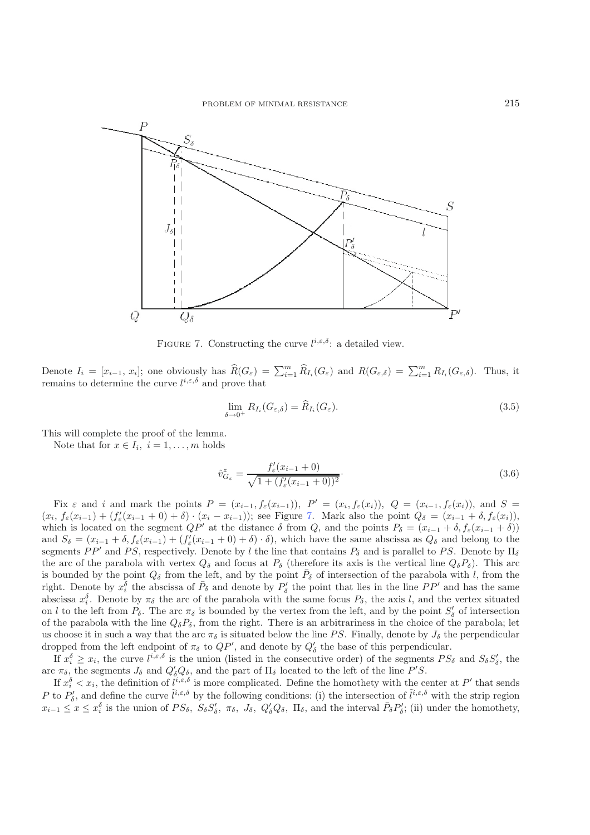<span id="page-9-0"></span>

<span id="page-9-2"></span><span id="page-9-1"></span>FIGURE 7. Constructing the curve  $l^{i,\epsilon,\delta}$ : a detailed view.

Denote  $I_i = [x_{i-1}, x_i]$ ; one obviously has  $\widehat{R}(G_{\varepsilon}) = \sum_{i=1}^m \widehat{R}_{I_i}(G_{\varepsilon})$  and  $R(G_{\varepsilon,\delta}) = \sum_{i=1}^m R_{I_i}(G_{\varepsilon,\delta})$ . Thus, it remains to determine the curve  $l^{i,\epsilon,\delta}$  and prove that

$$
\lim_{\delta \to 0^+} R_{I_i}(G_{\varepsilon,\delta}) = \widehat{R}_{I_i}(G_{\varepsilon}).
$$
\n(3.5)

This will complete the proof of the lemma.

Note that for  $x \in I_i$ ,  $i = 1, \ldots, m$  holds

$$
\hat{v}_{G_{\varepsilon}}^{z} = \frac{f'_{\varepsilon}(x_{i-1} + 0)}{\sqrt{1 + (f'_{\varepsilon}(x_{i-1} + 0))^{2}}}.
$$
\n(3.6)

Fix  $\varepsilon$  and i and mark the points  $P = (x_{i-1}, f_{\varepsilon}(x_{i-1}))$ ,  $P' = (x_i, f_{\varepsilon}(x_i))$ ,  $Q = (x_{i-1}, f_{\varepsilon}(x_i))$ , and  $S =$  $(x_i, f_\varepsilon(x_{i-1}) + (f'_\varepsilon(x_{i-1} + 0) + \delta) \cdot (x_i - x_{i-1}))$ ; see Figure [7.](#page-9-0) Mark also the point  $Q_\delta = (x_{i-1} + \delta, f_\varepsilon(x_i))$ , which is located on the segment  $QP'$  at the distance  $\delta$  from  $Q$ , and the points  $P_{\delta} = (x_{i-1} + \delta, f_{\epsilon}(x_{i-1} + \delta))$ and  $S_{\delta} = (x_{i-1} + \delta, f_{\varepsilon}(x_{i-1}) + (f'_{\varepsilon}(x_{i-1} + 0) + \delta) \cdot \delta)$ , which have the same abscissa as  $Q_{\delta}$  and belong to the segments  $PP'$  and PS, respectively. Denote by l the line that contains  $P_\delta$  and is parallel to PS. Denote by  $\Pi_\delta$ the arc of the parabola with vertex  $Q_{\delta}$  and focus at  $P_{\delta}$  (therefore its axis is the vertical line  $Q_{\delta}P_{\delta}$ ). This arc is bounded by the point  $Q_{\delta}$  from the left, and by the point  $P_{\delta}$  of intersection of the parabola with l, from the right. Denote by  $x_i^{\delta}$  the abscissa of  $\bar{P}_{\delta}$  and denote by  $P'_{\delta}$  the point that lies in the line  $PP'$  and has the same abscissa  $x_i^{\delta}$ . Denote by  $\pi_{\delta}$  the arc of the parabola with the same focus  $P_{\delta}$ , the axis l, and the vertex situated on l to the left from  $P_\delta$ . The arc  $\pi_\delta$  is bounded by the vertex from the left, and by the point  $S'_\delta$  of intersection of the parabola with the line  $Q_{\delta}P_{\delta}$ , from the right. There is an arbitrariness in the choice of the parabola; let us choose it in such a way that the arc  $\pi_{\delta}$  is situated below the line PS. Finally, denote by  $J_{\delta}$  the perpendicular dropped from the left endpoint of  $\pi_{\delta}$  to  $QP'$ , and denote by  $Q'_{\delta}$  the base of this perpendicular.

If  $x_i^{\delta} \geq x_i$ , the curve  $l^{i,\varepsilon,\delta}$  is the union (listed in the consecutive order) of the segments  $PS_{\delta}$  and  $S_{\delta}S'_{\delta}$ , the arc  $\pi_{\delta}$ , the segments  $J_{\delta}$  and  $Q'_{\delta}Q_{\delta}$ , and the part of  $\Pi_{\delta}$  located to the left of the line  $P'S$ .

If  $x_i^{\delta} < x_i$ , the definition of  $l^{i,\varepsilon,\delta}$  is more complicated. Define the homothety with the center at  $P'$  that sends P to  $P'_\delta$ , and define the curve  $\tilde{l}^{i,\varepsilon,\delta}$  by the following conditions: (i) the intersection of  $\tilde{l}^{i,\varepsilon,\delta}$  with the strip region  $x_{i-1} \leq x \leq x_i^{\delta}$  is the union of  $PS_{\delta}$ ,  $S_{\delta} S_{\delta}'$ ,  $\pi_{\delta}$ ,  $J_{\delta}$ ,  $Q_{\delta}' Q_{\delta}$ ,  $\Pi_{\delta}$ , and the interval  $\bar{P}_{\delta} P_{\delta}'$ ; (ii) under the homothety,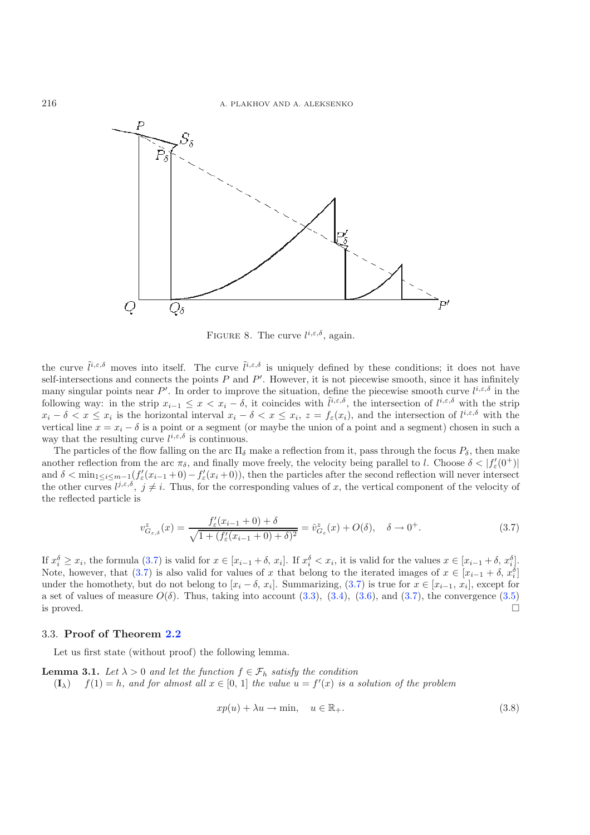

FIGURE 8. The curve  $l^{i,\varepsilon,\delta}$ , again.

<span id="page-10-0"></span>the curve  $\tilde{l}^{i,\varepsilon,\delta}$  moves into itself. The curve  $\tilde{l}^{i,\varepsilon,\delta}$  is uniquely defined by these conditions; it does not have self-intersections and connects the points  $P$  and  $P'$ . However, it is not piecewise smooth, since it has infinitely many singular points near P'. In order to improve the situation, define the piecewise smooth curve  $l^{i,\epsilon,\delta}$  in the following way: in the strip  $x_{i-1} \leq x < x_i - \delta$ , it coincides with  $\tilde{l}^{i,\varepsilon,\delta}$ , the intersection of  $l^{i,\varepsilon,\delta}$  with the strip  $x_i - \delta < x \leq x_i$  is the horizontal interval  $x_i - \delta < x \leq x_i$ ,  $z = f_{\varepsilon}(x_i)$ , and the intersection of  $l^{i,\varepsilon,\delta}$  with the vertical line  $x = x_i - \delta$  is a point or a segment (or maybe the union of a point and a segment) chosen in such a way that the resulting curve  $l^{i,\varepsilon,\delta}$  is continuous.

The particles of the flow falling on the arc  $\Pi_{\delta}$  make a reflection from it, pass through the focus  $P_{\delta}$ , then make another reflection from the arc  $\pi_{\delta}$ , and finally move freely, the velocity being parallel to l. Choose  $\delta < |f'_{\epsilon}(0^+)|$ and  $\delta < \min_{1 \le i \le m-1} (f'_{\varepsilon}(x_{i-1}+0) - f'_{\varepsilon}(x_i+0)),$  then the particles after the second reflection will never intersect the other curves  $l^{j,\varepsilon,\delta}$ ,  $j\neq i$ . Thus, for the corresponding values of x, the vertical component of the velocity of the reflected particle is

$$
v_{G_{\varepsilon,\delta}}^z(x) = \frac{f'_{\varepsilon}(x_{i-1} + 0) + \delta}{\sqrt{1 + (f'_{\varepsilon}(x_{i-1} + 0) + \delta)^2}} = \hat{v}_{G_{\varepsilon}}^z(x) + O(\delta), \quad \delta \to 0^+.
$$
 (3.7)

If  $x_i^{\delta} \geq x_i$ , the formula [\(3.7\)](#page-10-0) is valid for  $x \in [x_{i-1} + \delta, x_i]$ . If  $x_i^{\delta} < x_i$ , it is valid for the values  $x \in [x_{i-1} + \delta, x_i^{\delta}]$ . Note, however, that [\(3.7\)](#page-10-0) is also valid for values of x that belong to the iterated images of  $x \in [x_{i-1} + \delta, x_i^{\delta}]$ under the homothety, but do not belong to  $[x_i - \delta, x_i]$ . Summarizing, [\(3.7\)](#page-10-0) is true for  $x \in [x_{i-1}, x_i]$ , except for a set of values of measure  $O(\delta)$ . Thus, taking into account [\(3.3\)](#page-8-2), [\(3.4\)](#page-8-3), [\(3.6\)](#page-9-1), and [\(3.7\)](#page-10-0), the convergence [\(3.5\)](#page-9-2) is proved.  $\square$ 

### 3.3. **Proof of Theorem [2.2](#page-5-8)**

Let us first state (without proof) the following lemma.

**Lemma 3.1.** *Let*  $\lambda > 0$  *and let the function*  $f \in \mathcal{F}_h$  *satisfy the condition*  $(\mathbf{I}_{\lambda})$   $f(1) = h$ , and for almost all  $x \in [0, 1]$  the value  $u = f'(x)$  is a solution of the problem

$$
xp(u) + \lambda u \to \min, \quad u \in \mathbb{R}_+.
$$
\n(3.8)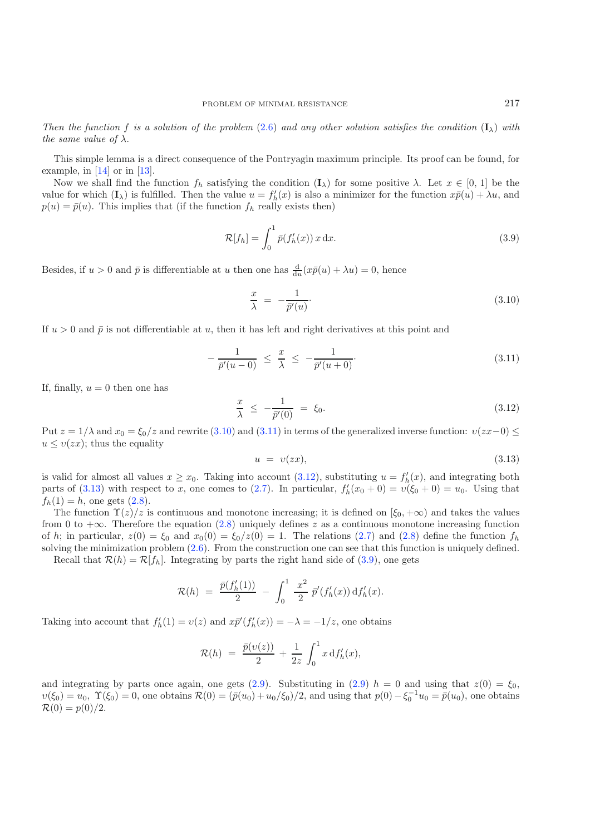<span id="page-11-4"></span>*Then the function* f *is a solution of the problem* [\(2.6\)](#page-5-7) *and any other solution satisfies the condition*  $(I_\lambda)$  *with the same value of*  $\lambda$ *.* 

This simple lemma is a direct consequence of the Pontryagin maximum principle. Its proof can be found, for example, in [\[14](#page-14-9)] or in [\[13\]](#page-14-10).

Now we shall find the function  $f_h$  satisfying the condition  $(I_\lambda)$  for some positive  $\lambda$ . Let  $x \in [0, 1]$  be the value for which  $(\mathbf{I}_{\lambda})$  is fulfilled. Then the value  $u = f'_{h}(x)$  is also a minimizer for the function  $x\bar{p}(u) + \lambda u$ , and  $p(u) = \bar{p}(u)$ . This implies that (if the function f, really exists then)  $p(u)=\bar{p}(u)$ . This implies that (if the function  $f_h$  really exists then)

<span id="page-11-2"></span><span id="page-11-1"></span><span id="page-11-0"></span>
$$
\mathcal{R}[f_h] = \int_0^1 \bar{p}(f'_h(x)) x \, dx. \tag{3.9}
$$

Besides, if  $u > 0$  and  $\bar{p}$  is differentiable at u then one has  $\frac{d}{du}(x\bar{p}(u) + \lambda u) = 0$ , hence

$$
\frac{x}{\lambda} = -\frac{1}{\bar{p}'(u)}.\tag{3.10}
$$

If  $u > 0$  and  $\bar{p}$  is not differentiable at u, then it has left and right derivatives at this point and

<span id="page-11-3"></span>
$$
-\frac{1}{\bar{p}'(u-0)} \leq \frac{x}{\lambda} \leq -\frac{1}{\bar{p}'(u+0)}.
$$
\n(3.11)

If, finally,  $u = 0$  then one has

$$
\frac{x}{\lambda} \le -\frac{1}{\bar{p}'(0)} = \xi_0. \tag{3.12}
$$

Put  $z = 1/\lambda$  and  $x_0 = \xi_0/z$  and rewrite [\(3.10\)](#page-11-0) and [\(3.11\)](#page-11-1) in terms of the generalized inverse function:  $v(zx-0) \leq$  $u \leq v(zx)$ ; thus the equality

$$
u = v(zx), \tag{3.13}
$$

is valid for almost all values  $x \ge x_0$ . Taking into account [\(3.12\)](#page-11-2), substituting  $u = f'_h(x)$ , and integrating both parts of [\(3.13\)](#page-11-3) with respect to x, one comes to [\(2.7\)](#page-6-2). In particular,  $f'_h(x_0 + 0) = v(\xi_0 + 0) = u_0$ . Using that  $f_h(1) = h$ , one gets  $(2.8)$ .

The function  $\Upsilon(z)/z$  is continuous and monotone increasing; it is defined on  $[\xi_0, +\infty)$  and takes the values from 0 to  $+\infty$ . Therefore the equation [\(2.8\)](#page-6-1) uniquely defines z as a continuous monotone increasing function of h; in particular,  $z(0) = \xi_0$  and  $x_0(0) = \xi_0/z(0) = 1$ . The relations [\(2.7\)](#page-6-2) and [\(2.8\)](#page-6-1) define the function  $f_h$ solving the minimization problem  $(2.6)$ . From the construction one can see that this function is uniquely defined. Recall that  $\mathcal{R}(h) = \mathcal{R}[f_h]$ . Integrating by parts the right hand side of [\(3.9\)](#page-11-4), one gets

$$
\mathcal{R}(h) = \frac{\bar{p}(f'_h(1))}{2} - \int_0^1 \frac{x^2}{2} \, \bar{p}'(f'_h(x)) \, df'_h(x).
$$

Taking into account that  $f'_h(1) = v(z)$  and  $x\bar{p}'(f'_h(x)) = -\lambda = -1/z$ , one obtains

$$
\mathcal{R}(h) \;=\; \frac{\bar{p}(v(z))}{2} \,+\, \frac{1}{2z}\,\int_0^1 x\,\mathrm{d} f_h'(x),
$$

and integrating by parts once again, one gets [\(2.9\)](#page-6-3). Substituting in (2.9)  $h = 0$  and using that  $z(0) = \xi_0$ ,  $v(\xi_0) = u_0$ ,  $\Upsilon(\xi_0) = 0$ , one obtains  $\mathcal{R}(0) = (\bar{p}(u_0) + u_0/\xi_0)/2$ , and using that  $p(0) - \xi_0^{-1}u_0 = \bar{p}(u_0)$ , one obtains  $\mathcal{R}(0) = p(0)/2.$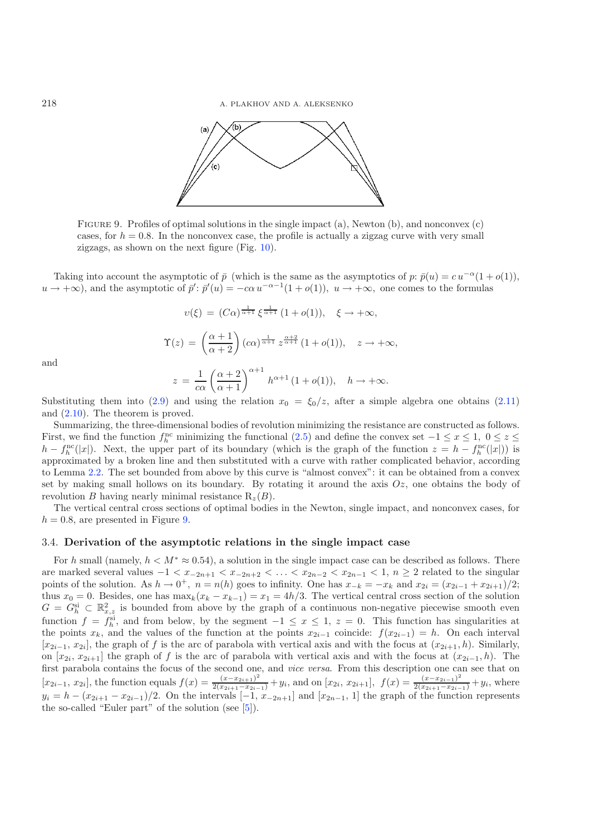<span id="page-12-0"></span>218 A. PLAKHOV AND A. ALEKSENKO



Figure 9. Profiles of optimal solutions in the single impact (a), Newton (b), and nonconvex (c) cases, for  $h = 0.8$ . In the nonconvex case, the profile is actually a zigzag curve with very small zigzags, as shown on the next figure (Fig.  $10$ ).

Taking into account the asymptotic of  $\bar{p}$  (which is the same as the asymptotics of p:  $\bar{p}(u) = cu^{-\alpha}(1 + o(1)),$  $u \to +\infty$ ), and the asymptotic of  $\bar{p}' \colon \bar{p}'(u) = -c\alpha u^{-\alpha-1}(1+o(1)), u \to +\infty$ , one comes to the formulas

$$
v(\xi) = (C\alpha)^{\frac{1}{\alpha+1}} \xi^{\frac{1}{\alpha+1}} (1 + o(1)), \quad \xi \to +\infty,
$$
  

$$
\Upsilon(z) = \left(\frac{\alpha+1}{\alpha+2}\right) (c\alpha)^{\frac{1}{\alpha+1}} z^{\frac{\alpha+2}{\alpha+1}} (1 + o(1)), \quad z \to +\infty,
$$
  

$$
z = \frac{1}{c\alpha} \left(\frac{\alpha+2}{\alpha+1}\right)^{\alpha+1} h^{\alpha+1} (1 + o(1)), \quad h \to +\infty.
$$

and

Substituting them into [\(2.9\)](#page-6-3) and using the relation  $x_0 = \xi_0/z$ , after a simple algebra one obtains [\(2.11\)](#page-6-4) and [\(2.10\)](#page-6-5). The theorem is proved.

Summarizing, the three-dimensional bodies of revolution minimizing the resistance are constructed as follows. First, we find the function  $f_h^{\text{nc}}$  minimizing the functional [\(2.5\)](#page-5-6) and define the convex set  $-1 \le x \le 1$ ,  $0 \le z \le 1$  $h - f_h^{\text{nc}}(|x|)$ . Next, the upper part of its boundary (which is the graph of the function  $z = h - f_h^{\text{nc}}(|x|)$ ) is approximated by a broken line and then substituted with a curve with rather complicated behavior, according to Lemma [2.2.](#page-5-2) The set bounded from above by this curve is "almost convex": it can be obtained from a convex set by making small hollows on its boundary. By rotating it around the axis  $Oz$ , one obtains the body of revolution B having nearly minimal resistance  $R_z(B)$ .

The vertical central cross sections of optimal bodies in the Newton, single impact, and nonconvex cases, for  $h = 0.8$ , are presented in Figure [9.](#page-12-0)

#### 3.4. **Derivation of the asymptotic relations in the single impact case**

For h small (namely,  $h < M^* \approx 0.54$ ), a solution in the single impact case can be described as follows. There are marked several values  $-1 < x_{-2n+1} < x_{-2n+2} < \ldots < x_{2n-2} < x_{2n-1} < 1$ ,  $n \geq 2$  related to the singular points of the solution. As  $h \to 0^+$ ,  $n = n(h)$  goes to infinity. One has  $x_{-k} = -x_k$  and  $x_{2i} = (x_{2i-1} + x_{2i+1})/2$ ; thus  $x_0 = 0$ . Besides, one has  $\max_k(x_k - x_{k-1}) = x_1 = 4h/3$ . The vertical central cross section of the solution  $G = G_h^{\text{si}} \subset \mathbb{R}^2_{x,z}$  is bounded from above by the graph of a continuous non-negative piecewise smooth even function  $f = f_h^{\rm si}$ , and from below, by the segment  $-1 \le x \le 1$ ,  $z = 0$ . This function has singularities at the points  $x_k$ , and the values of the function at the points  $x_{2i-1}$  coincide:  $f(x_{2i-1}) = h$ . On each interval  $[x_{2i-1}, x_{2i}]$ , the graph of f is the arc of parabola with vertical axis and with the focus at  $(x_{2i+1}, h)$ . Similarly, on  $[x_{2i}, x_{2i+1}]$  the graph of f is the arc of parabola with vertical axis and with the focus at  $(x_{2i-1}, h)$ . The first parabola contains the focus of the second one, and *vice versa*. From this description one can see that on  $[x_{2i-1}, x_{2i}]$ , the function equals  $f(x) = \frac{(x-x_{2i+1})^2}{2(x_{2i+1}-x_{2i-1})} + y_i$ , and on  $[x_{2i}, x_{2i+1}]$ ,  $f(x) = \frac{(x-x_{2i-1})^2}{2(x_{2i+1}-x_{2i-1})} + y_i$ , where  $y_i = h - (x_{2i+1} - x_{2i-1})/2$ . On the intervals  $[-1, x_{2i-1}]$  and  $[x_{2n-1}, 1]$  the graph of the function represents the so-called "Euler part" of the solution (see  $[5]$  $[5]$ ).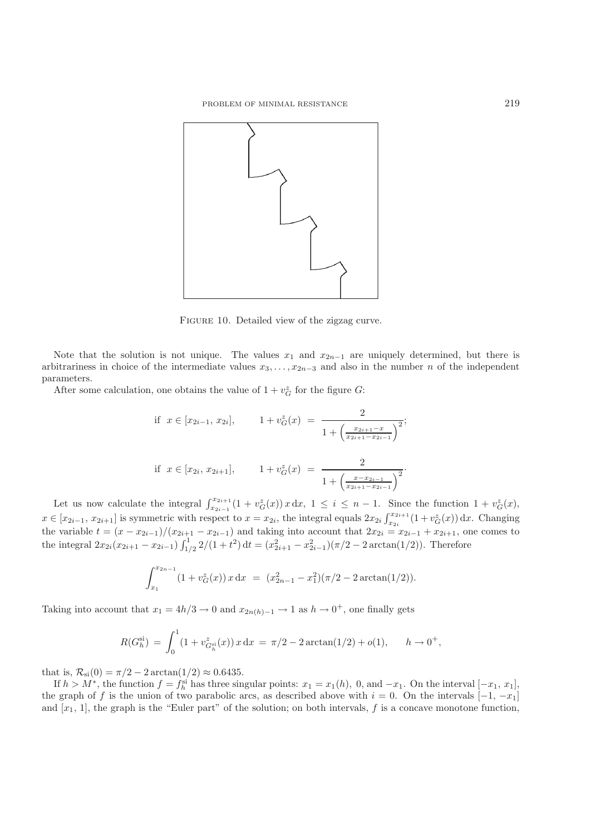<span id="page-13-0"></span>

FIGURE 10. Detailed view of the zigzag curve.

Note that the solution is not unique. The values  $x_1$  and  $x_{2n-1}$  are uniquely determined, but there is arbitrariness in choice of the intermediate values  $x_3, \ldots, x_{2n-3}$  and also in the number n of the independent parameters.

After some calculation, one obtains the value of  $1 + v_G^z$  for the figure  $G$ :

if 
$$
x \in [x_{2i-1}, x_{2i}],
$$
  $1 + v_G^z(x) = \frac{2}{1 + \left(\frac{x_{2i+1} - x}{x_{2i+1} - x_{2i-1}}\right)^2};$   
if  $x \in [x_{2i}, x_{2i+1}],$   $1 + v_G^z(x) = \frac{2}{1 + \left(\frac{x - x_{2i-1}}{x_{2i+1} - x_{2i-1}}\right)^2}.$ 

Let us now calculate the integral  $\int_{x_{2i-1}}^{x_{2i+1}} (1 + v_G^z(x)) x \, dx$ ,  $1 \leq i \leq n-1$ . Since the function  $1 + v_G^z(x)$ ,  $x \in [x_{2i-1}, x_{2i+1}]$  is symmetric with respect to  $x = x_{2i}$ , the integral equals  $2x_{2i} \int_{x_{2i}}^{x_{2i+1}} (1 + v_G^z(x)) dx$ . Changing the variable  $t = (x - x_{2i-1})/(x_{2i+1} - x_{2i-1})$  and taking into account that  $2x_{2i} = x_{2i-1} + x_{2i+1}$ , one comes to the integral  $2x_{2i}(x_{2i+1} - x_{2i-1}) \int_{1/2}^{1} 2/(1+t^2) dt = (x_{2i+1}^2 - x_{2i-1}^2)(\pi/2 - 2 \arctan(1/2))$ . Therefore

$$
\int_{x_1}^{x_{2n-1}} (1 + v_G^z(x)) x \, dx = (x_{2n-1}^2 - x_1^2)(\pi/2 - 2 \arctan(1/2)).
$$

Taking into account that  $x_1 = 4h/3 \rightarrow 0$  and  $x_{2n(h)-1} \rightarrow 1$  as  $h \rightarrow 0^+$ , one finally gets

$$
R(G_h^{\rm si}) = \int_0^1 (1 + v_{G_h^{\rm si}}^z(x)) x \, dx = \pi/2 - 2 \arctan(1/2) + o(1), \qquad h \to 0^+,
$$

that is,  $\mathcal{R}_{\rm si}(0) = \pi/2 - 2 \arctan(1/2) \approx 0.6435$ .

If  $h > M^*$ , the function  $f = f_h^{\text{si}}$  has three singular points:  $x_1 = x_1(h)$ , 0, and  $-x_1$ . On the interval  $[-x_1, x_1]$ , the graph of f is the union of two parabolic arcs, as described above with  $i = 0$ . On the intervals  $[-1, -x_1]$ and  $[x_1, 1]$ , the graph is the "Euler part" of the solution; on both intervals, f is a concave monotone function,